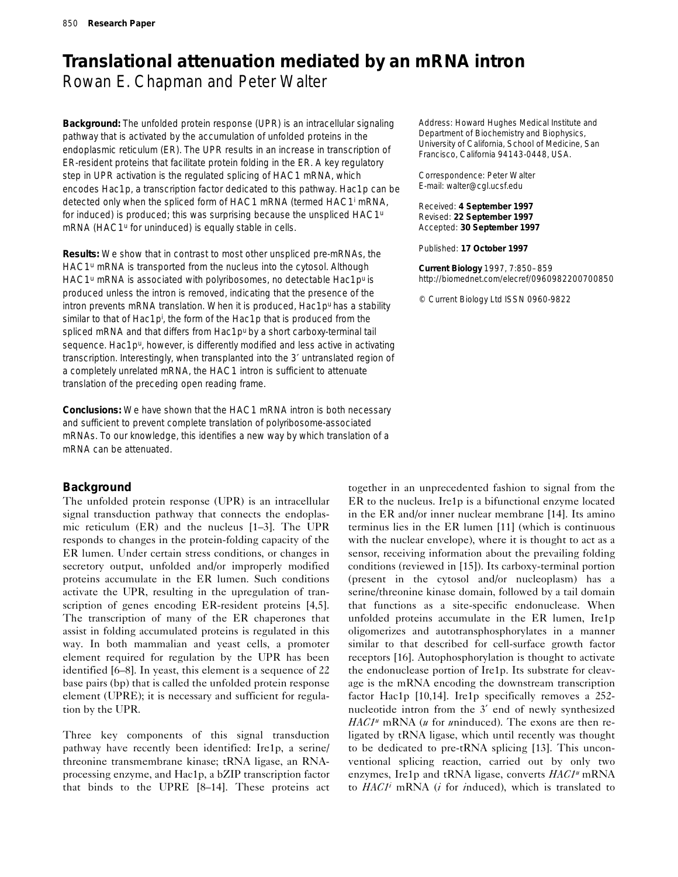# **Translational attenuation mediated by an mRNA intron** Rowan E. Chapman and Peter Walter

**Background:** The unfolded protein response (UPR) is an intracellular signaling pathway that is activated by the accumulation of unfolded proteins in the endoplasmic reticulum (ER). The UPR results in an increase in transcription of ER-resident proteins that facilitate protein folding in the ER. A key regulatory step in UPR activation is the regulated splicing of *HAC1* mRNA, which encodes Hac1p, a transcription factor dedicated to this pathway. Hac1p can be detected only when the spliced form of *HAC1* mRNA (termed *HAC1i* mRNA, for *i*nduced) is produced; this was surprising because the unspliced *HAC1u* mRNA (*HAC1u* for *u*ninduced) is equally stable in cells.

**Results:** We show that in contrast to most other unspliced pre-mRNAs, the *HAC1u* mRNA is transported from the nucleus into the cytosol. Although HAC1<sup>u</sup> mRNA is associated with polyribosomes, no detectable Hac1p<sup>u</sup> is produced unless the intron is removed, indicating that the presence of the intron prevents mRNA translation. When it is produced, Hac1p<sup>u</sup> has a stability similar to that of Hac1p<sup>i</sup>, the form of the Hac1p that is produced from the spliced mRNA and that differs from Hac1p<sup>u</sup> by a short carboxy-terminal tail sequence. Hac1p<sup>u</sup>, however, is differently modified and less active in activating transcription. Interestingly, when transplanted into the 3′ untranslated region of a completely unrelated mRNA, the *HAC1* intron is sufficient to attenuate translation of the preceding open reading frame.

**Conclusions:** We have shown that the *HAC1* mRNA intron is both necessary and sufficient to prevent complete translation of polyribosome-associated mRNAs. To our knowledge, this identifies a new way by which translation of a mRNA can be attenuated.

# **Background**

The unfolded protein response (UPR) is an intracellular signal transduction pathway that connects the endoplasmic reticulum (ER) and the nucleus [1–3]. The UPR responds to changes in the protein-folding capacity of the ER lumen. Under certain stress conditions, or changes in secretory output, unfolded and/or improperly modified proteins accumulate in the ER lumen. Such conditions activate the UPR, resulting in the upregulation of transcription of genes encoding ER-resident proteins [4,5]. The transcription of many of the ER chaperones that assist in folding accumulated proteins is regulated in this way. In both mammalian and yeast cells, a promoter element required for regulation by the UPR has been identified [6–8]. In yeast, this element is a sequence of 22 base pairs (bp) that is called the unfolded protein response element (UPRE); it is necessary and sufficient for regulation by the UPR.

Three key components of this signal transduction pathway have recently been identified: Ire1p, a serine/ threonine transmembrane kinase; tRNA ligase, an RNAprocessing enzyme, and Hac1p, a bZIP transcription factor that binds to the UPRE [8–14]. These proteins act

Address: Howard Hughes Medical Institute and Department of Biochemistry and Biophysics, University of California, School of Medicine, San Francisco, California 94143-0448, USA.

Correspondence: Peter Walter E-mail: walter@cgl.ucsf.edu

Received: **4 September 1997** Revised: **22 September 1997** Accepted: **30 September 1997**

Published: **17 October 1997**

**Current Biology** 1997, 7:850–859 http://biomednet.com/elecref/0960982200700850

© Current Biology Ltd ISSN 0960-9822

together in an unprecedented fashion to signal from the ER to the nucleus. Ire1p is a bifunctional enzyme located in the ER and/or inner nuclear membrane [14]. Its amino terminus lies in the ER lumen [11] (which is continuous with the nuclear envelope), where it is thought to act as a sensor, receiving information about the prevailing folding conditions (reviewed in [15]). Its carboxy-terminal portion (present in the cytosol and/or nucleoplasm) has a serine/threonine kinase domain, followed by a tail domain that functions as a site-specific endonuclease. When unfolded proteins accumulate in the ER lumen, Ire1p oligomerizes and autotransphosphorylates in a manner similar to that described for cell-surface growth factor receptors [16]. Autophosphorylation is thought to activate the endonuclease portion of Ire1p. Its substrate for cleavage is the mRNA encoding the downstream transcription factor Hac1p [10,14]. Ire1p specifically removes a 252 nucleotide intron from the 3′ end of newly synthesized *HAC1u* mRNA (*u* for *u*ninduced). The exons are then religated by tRNA ligase, which until recently was thought to be dedicated to pre-tRNA splicing [13]. This unconventional splicing reaction, carried out by only two enzymes, Ire1p and tRNA ligase, converts *HAC1u* mRNA to *HAC1i* mRNA (*i* for *i*nduced), which is translated to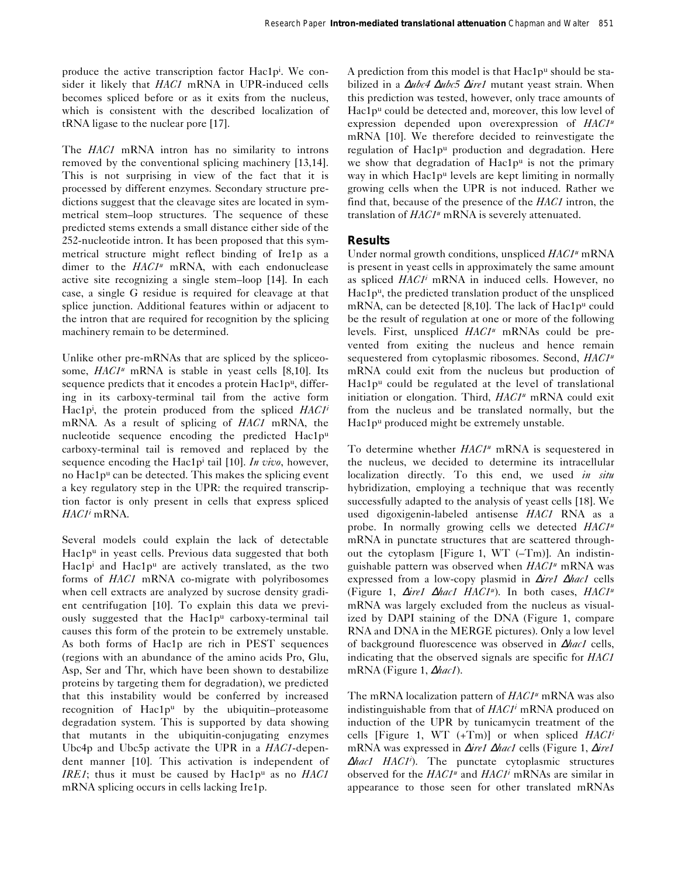produce the active transcription factor Hac1p<sup>i</sup>. We consider it likely that *HAC1* mRNA in UPR-induced cells becomes spliced before or as it exits from the nucleus, which is consistent with the described localization of tRNA ligase to the nuclear pore [17].

The *HAC1* mRNA intron has no similarity to introns removed by the conventional splicing machinery [13,14]. This is not surprising in view of the fact that it is processed by different enzymes. Secondary structure predictions suggest that the cleavage sites are located in symmetrical stem–loop structures. The sequence of these predicted stems extends a small distance either side of the 252-nucleotide intron. It has been proposed that this symmetrical structure might reflect binding of Ire1p as a dimer to the *HAC1<sup>u</sup>* mRNA, with each endonuclease active site recognizing a single stem–loop [14]. In each case, a single G residue is required for cleavage at that splice junction. Additional features within or adjacent to the intron that are required for recognition by the splicing machinery remain to be determined.

Unlike other pre-mRNAs that are spliced by the spliceosome, *HAC1u* mRNA is stable in yeast cells [8,10]. Its sequence predicts that it encodes a protein Hac1p<sup>u</sup>, differing in its carboxy-terminal tail from the active form Hac1pi , the protein produced from the spliced *HAC1i* mRNA. As a result of splicing of *HAC1* mRNA, the nucleotide sequence encoding the predicted Hac1pu carboxy-terminal tail is removed and replaced by the sequence encoding the Hac1pi tail [10]. *In vivo*, however, no Hac1pu can be detected. This makes the splicing event a key regulatory step in the UPR: the required transcription factor is only present in cells that express spliced *HAC1i* mRNA.

Several models could explain the lack of detectable Hac1pu in yeast cells. Previous data suggested that both Hac1pi and Hac1pu are actively translated, as the two forms of *HAC1* mRNA co-migrate with polyribosomes when cell extracts are analyzed by sucrose density gradient centrifugation [10]. To explain this data we previously suggested that the Hac1pu carboxy-terminal tail causes this form of the protein to be extremely unstable. As both forms of Hac1p are rich in PEST sequences (regions with an abundance of the amino acids Pro, Glu, Asp, Ser and Thr, which have been shown to destabilize proteins by targeting them for degradation), we predicted that this instability would be conferred by increased recognition of  $Hac1p^u$  by the ubiquitin–proteasome degradation system. This is supported by data showing that mutants in the ubiquitin-conjugating enzymes Ubc4p and Ubc5p activate the UPR in a *HAC1*-dependent manner [10]. This activation is independent of *IRE1*; thus it must be caused by Hac1p<sup>u</sup> as no *HAC1* mRNA splicing occurs in cells lacking Ire1p.

A prediction from this model is that Hac1p<sup>u</sup> should be stabilized in a ∆*ubc4* ∆*ubc5* ∆*ire1* mutant yeast strain. When this prediction was tested, however, only trace amounts of Hac1p<sup>u</sup> could be detected and, moreover, this low level of expression depended upon overexpression of *HAC1u* mRNA [10]. We therefore decided to reinvestigate the regulation of Hac1pu production and degradation. Here we show that degradation of  $Hac1p<sup>u</sup>$  is not the primary way in which Hac1p<sup>u</sup> levels are kept limiting in normally growing cells when the UPR is not induced. Rather we find that, because of the presence of the *HAC1* intron, the translation of *HAC1u* mRNA is severely attenuated.

# **Results**

Under normal growth conditions, unspliced *HAC1u* mRNA is present in yeast cells in approximately the same amount as spliced *HAC1i* mRNA in induced cells. However, no Hac1pu, the predicted translation product of the unspliced mRNA, can be detected [8,10]. The lack of Hac1p<sup>u</sup> could be the result of regulation at one or more of the following levels. First, unspliced *HAC1u* mRNAs could be prevented from exiting the nucleus and hence remain sequestered from cytoplasmic ribosomes. Second, *HAC1u* mRNA could exit from the nucleus but production of Hac1pu could be regulated at the level of translational initiation or elongation. Third, *HAC1u* mRNA could exit from the nucleus and be translated normally, but the Hac1p<sup>u</sup> produced might be extremely unstable.

To determine whether *HAC1u* mRNA is sequestered in the nucleus, we decided to determine its intracellular localization directly. To this end, we used *in situ* hybridization, employing a technique that was recently successfully adapted to the analysis of yeast cells [18]. We used digoxigenin-labeled antisense *HAC1* RNA as a probe. In normally growing cells we detected *HAC1u* mRNA in punctate structures that are scattered throughout the cytoplasm [Figure 1, WT (–Tm)]. An indistinguishable pattern was observed when *HAC1u* mRNA was expressed from a low-copy plasmid in ∆*ire1* <sup>∆</sup>*hac1* cells (Figure 1, ∆*ire1* ∆*hac1 HAC1u*). In both cases, *HAC1u* mRNA was largely excluded from the nucleus as visualized by DAPI staining of the DNA (Figure 1, compare RNA and DNA in the MERGE pictures). Only a low level of background fluorescence was observed in ∆*hac1* cells, indicating that the observed signals are specific for *HAC1* mRNA (Figure 1, ∆*hac1*).

The mRNA localization pattern of *HAC1<sup>u</sup>* mRNA was also indistinguishable from that of *HAC1i* mRNA produced on induction of the UPR by tunicamycin treatment of the cells [Figure 1, WT (+Tm)] or when spliced *HAC1i* mRNA was expressed in ∆*ire1* <sup>∆</sup>*hac1* cells (Figure 1, ∆*ire1* <sup>∆</sup>*hac1 HAC1i* ). The punctate cytoplasmic structures observed for the *HAC1u* and *HAC1i* mRNAs are similar in appearance to those seen for other translated mRNAs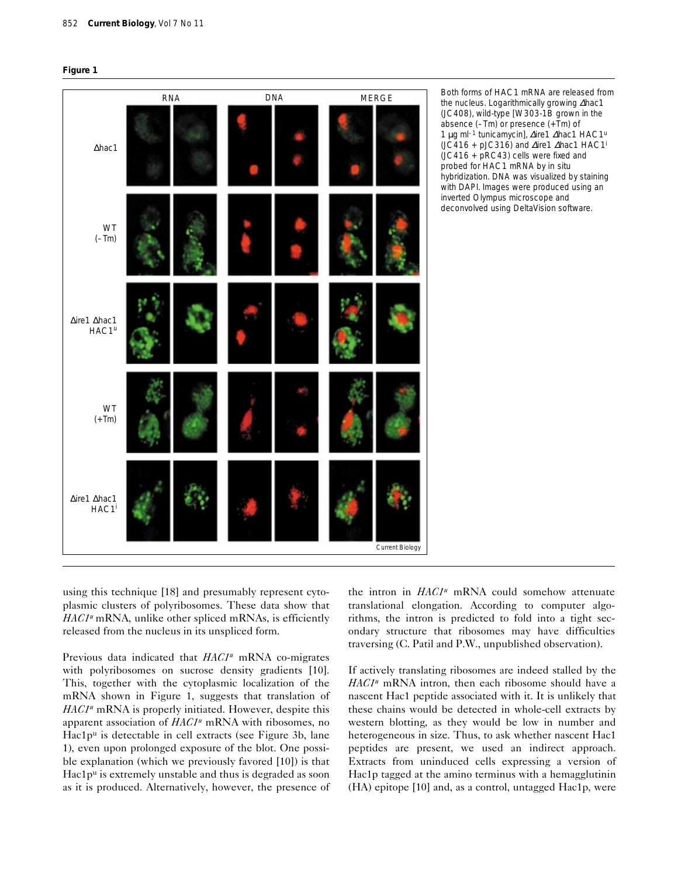



Both forms of *HAC1* mRNA are released from the nucleus. Logarithmically growing ∆*hac1* (JC408), wild-type [W303-1B grown in the absence (–Tm) or presence (+Tm) of 1 µg ml–1 tunicamycin], ∆*ire1* ∆*hac1 HAC1u* (JC416 + pJC316) and ∆*ire1* ∆*hac1 HAC1i* (JC416 + pRC43) cells were fixed and probed for *HAC1* mRNA by *in situ* hybridization. DNA was visualized by staining with DAPI. Images were produced using an inverted Olympus microscope and deconvolved using DeltaVision software.

using this technique [18] and presumably represent cytoplasmic clusters of polyribosomes. These data show that *HAC1<sup>u</sup>* mRNA, unlike other spliced mRNAs, is efficiently released from the nucleus in its unspliced form.

Previous data indicated that *HAC1<sup>u</sup>* mRNA co-migrates with polyribosomes on sucrose density gradients [10]. This, together with the cytoplasmic localization of the mRNA shown in Figure 1, suggests that translation of *HAC1<sup>u</sup>* mRNA is properly initiated. However, despite this apparent association of *HAC1u* mRNA with ribosomes, no Hac1pu is detectable in cell extracts (see Figure 3b, lane 1), even upon prolonged exposure of the blot. One possible explanation (which we previously favored [10]) is that Hac1p<sup>u</sup> is extremely unstable and thus is degraded as soon as it is produced. Alternatively, however, the presence of the intron in *HAC1<sup>u*</sup> mRNA could somehow attenuate translational elongation. According to computer algorithms, the intron is predicted to fold into a tight secondary structure that ribosomes may have difficulties traversing (C. Patil and P.W., unpublished observation).

If actively translating ribosomes are indeed stalled by the *HAC1u* mRNA intron, then each ribosome should have a nascent Hac1 peptide associated with it. It is unlikely that these chains would be detected in whole-cell extracts by western blotting, as they would be low in number and heterogeneous in size. Thus, to ask whether nascent Hac1 peptides are present, we used an indirect approach. Extracts from uninduced cells expressing a version of Hac1p tagged at the amino terminus with a hemagglutinin (HA) epitope [10] and, as a control, untagged Hac1p, were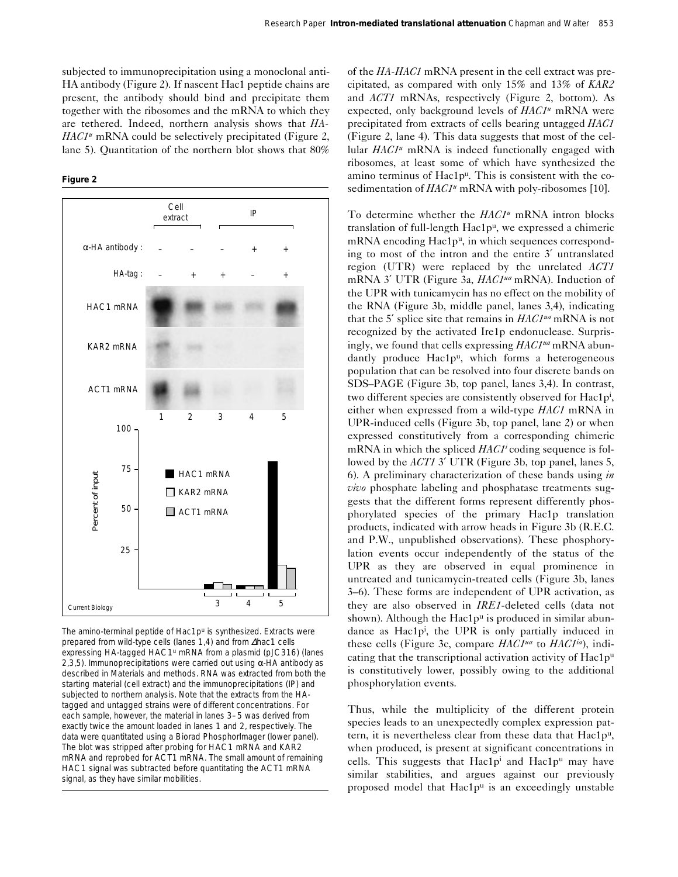subjected to immunoprecipitation using a monoclonal anti-HA antibody (Figure 2). If nascent Hac1 peptide chains are present, the antibody should bind and precipitate them together with the ribosomes and the mRNA to which they are tethered. Indeed, northern analysis shows that *HA-HAC1<sup>u</sup>* mRNA could be selectively precipitated (Figure 2, lane 5). Quantitation of the northern blot shows that 80%

**Figure 2**



The amino-terminal peptide of Hac1p<sup>u</sup> is synthesized. Extracts were prepared from wild-type cells (lanes 1,4) and from ∆*hac1* cells expressing HA-tagged *HAC1u* mRNA from a plasmid (pJC316) (lanes 2,3,5). Immunoprecipitations were carried out using  $α$ -HA antibody as described in Materials and methods. RNA was extracted from both the starting material (cell extract) and the immunoprecipitations (IP) and subjected to northern analysis. Note that the extracts from the HAtagged and untagged strains were of different concentrations. For each sample, however, the material in lanes 3–5 was derived from exactly twice the amount loaded in lanes 1 and 2, respectively. The data were quantitated using a Biorad PhosphorImager (lower panel). The blot was stripped after probing for *HAC1* mRNA and *KAR2* mRNA and reprobed for *ACT1* mRNA. The small amount of remaining *HAC1* signal was subtracted before quantitating the *ACT1* mRNA signal, as they have similar mobilities.

of the *HA-HAC1* mRNA present in the cell extract was precipitated, as compared with only 15% and 13% of *KAR2* and *ACT1* mRNAs, respectively (Figure 2, bottom). As expected, only background levels of *HAC1u* mRNA were precipitated from extracts of cells bearing untagged *HAC1* (Figure 2, lane 4). This data suggests that most of the cellular *HAC1u* mRNA is indeed functionally engaged with ribosomes, at least some of which have synthesized the amino terminus of Hac1pu. This is consistent with the cosedimentation of *HAC1<sup>u</sup>* mRNA with poly-ribosomes [10].

To determine whether the *HAC1u* mRNA intron blocks translation of full-length Hac1pu, we expressed a chimeric mRNA encoding Hac1p<sup>u</sup>, in which sequences corresponding to most of the intron and the entire 3′ untranslated region (UTR) were replaced by the unrelated *ACT1* mRNA 3′ UTR (Figure 3a, *HAC1ua* mRNA). Induction of the UPR with tunicamycin has no effect on the mobility of the RNA (Figure 3b, middle panel, lanes 3,4), indicating that the 5′ splice site that remains in *HAC1ua* mRNA is not recognized by the activated Ire1p endonuclease. Surprisingly, we found that cells expressing *HAC1ua* mRNA abundantly produce Hac1p<sup>u</sup>, which forms a heterogeneous population that can be resolved into four discrete bands on SDS–PAGE (Figure 3b, top panel, lanes 3,4). In contrast, two different species are consistently observed for Hac1p<sup>i</sup>, either when expressed from a wild-type *HAC1* mRNA in UPR-induced cells (Figure 3b, top panel, lane 2) or when expressed constitutively from a corresponding chimeric mRNA in which the spliced *HAC1i* coding sequence is followed by the *ACT1* 3′ UTR (Figure 3b, top panel, lanes 5, 6). A preliminary characterization of these bands using *in vivo* phosphate labeling and phosphatase treatments suggests that the different forms represent differently phosphorylated species of the primary Hac1p translation products, indicated with arrow heads in Figure 3b (R.E.C. and P.W., unpublished observations). These phosphorylation events occur independently of the status of the UPR as they are observed in equal prominence in untreated and tunicamycin-treated cells (Figure 3b, lanes 3–6). These forms are independent of UPR activation, as they are also observed in *IRE1*-deleted cells (data not shown). Although the Hac1 $p^u$  is produced in similar abundance as Hac1pi , the UPR is only partially induced in these cells (Figure 3c, compare *HAC1ua* to *HAC1ia*), indicating that the transcriptional activation activity of Hac1pu is constitutively lower, possibly owing to the additional phosphorylation events.

Thus, while the multiplicity of the different protein species leads to an unexpectedly complex expression pattern, it is nevertheless clear from these data that Hac1pu, when produced, is present at significant concentrations in cells. This suggests that  $Hac1p<sup>i</sup>$  and  $Hac1p<sup>u</sup>$  may have similar stabilities, and argues against our previously proposed model that Hac1p<sup>u</sup> is an exceedingly unstable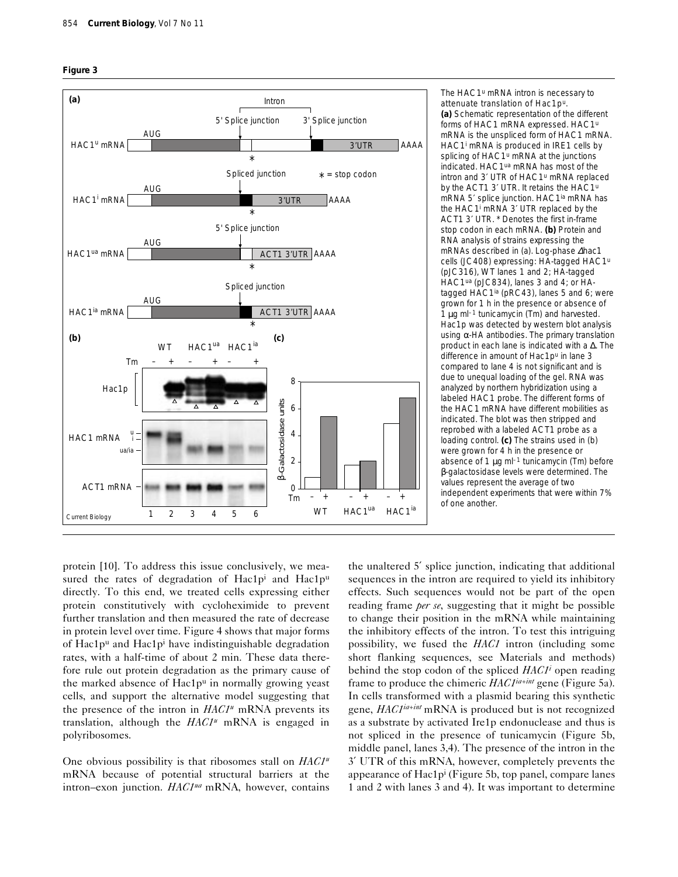



The *HAC1<sup>u</sup>* mRNA intron is necessary to attenuate translation of Hac1p<sup>u</sup>. **(a)** Schematic representation of the different forms of *HAC1* mRNA expressed. *HAC1u* mRNA is the unspliced form of *HAC1* mRNA. *HAC1i* mRNA is produced in *IRE1* cells by splicing of HAC1<sup>u</sup> mRNA at the junctions indicated. *HAC1ua* mRNA has most of the intron and 3′ UTR of *HAC1u* mRNA replaced by the *ACT1* 3′ UTR. It retains the *HAC1u* mRNA 5′ splice junction. *HAC1ia* mRNA has the *HAC1i* mRNA 3′ UTR replaced by the *ACT1* 3′ UTR. \* Denotes the first in-frame stop codon in each mRNA. **(b)** Protein and RNA analysis of strains expressing the mRNAs described in (a). Log-phase ∆*hac1* cells (JC408) expressing: HA-tagged *HAC1u* (pJC316), *WT* lanes 1 and 2; HA-tagged *HAC1ua* (pJC834), lanes 3 and 4; or HAtagged *HAC1ia* (pRC43), lanes 5 and 6; were grown for 1 h in the presence or absence of 1  $\mu$ g m $-1$  tunicamycin (Tm) and harvested. Hac1p was detected by western blot analysis using  $α$ -HA antibodies. The primary translation product in each lane is indicated with a ∆. The difference in amount of Hac1p<sup>u</sup> in lane 3 compared to lane 4 is not significant and is due to unequal loading of the gel. RNA was analyzed by northern hybridization using a labeled *HAC1* probe. The different forms of the *HAC1* mRNA have different mobilities as indicated. The blot was then stripped and reprobed with a labeled *ACT1* probe as a loading control. **(c)** The strains used in (b) were grown for 4 h in the presence or absence of 1  $\mu$ g ml<sup>-1</sup> tunicamycin (Tm) before β-galactosidase levels were determined. The values represent the average of two independent experiments that were within 7% of one another.

protein [10]. To address this issue conclusively, we measured the rates of degradation of Hac1p<sup>i</sup> and Hac1p<sup>u</sup> directly. To this end, we treated cells expressing either protein constitutively with cycloheximide to prevent further translation and then measured the rate of decrease in protein level over time. Figure 4 shows that major forms of Hac1 $p^u$  and Hac1 $p^i$  have indistinguishable degradation rates, with a half-time of about 2 min. These data therefore rule out protein degradation as the primary cause of the marked absence of Hac1pu in normally growing yeast cells, and support the alternative model suggesting that the presence of the intron in *HAC1u* mRNA prevents its translation, although the *HAC1u* mRNA is engaged in polyribosomes.

One obvious possibility is that ribosomes stall on *HAC1u* mRNA because of potential structural barriers at the intron–exon junction. *HAC1ua* mRNA, however, contains

the unaltered 5′ splice junction, indicating that additional sequences in the intron are required to yield its inhibitory effects. Such sequences would not be part of the open reading frame *per se*, suggesting that it might be possible to change their position in the mRNA while maintaining the inhibitory effects of the intron. To test this intriguing possibility, we fused the *HAC1* intron (including some short flanking sequences, see Materials and methods) behind the stop codon of the spliced *HAC1i* open reading frame to produce the chimeric *HAC1ia+int* gene (Figure 5a). In cells transformed with a plasmid bearing this synthetic gene, *HAC1ia+int* mRNA is produced but is not recognized as a substrate by activated Ire1p endonuclease and thus is not spliced in the presence of tunicamycin (Figure 5b, middle panel, lanes 3,4). The presence of the intron in the 3′ UTR of this mRNA, however, completely prevents the appearance of  $Hac1p<sup>i</sup>$  (Figure 5b, top panel, compare lanes 1 and 2 with lanes 3 and 4). It was important to determine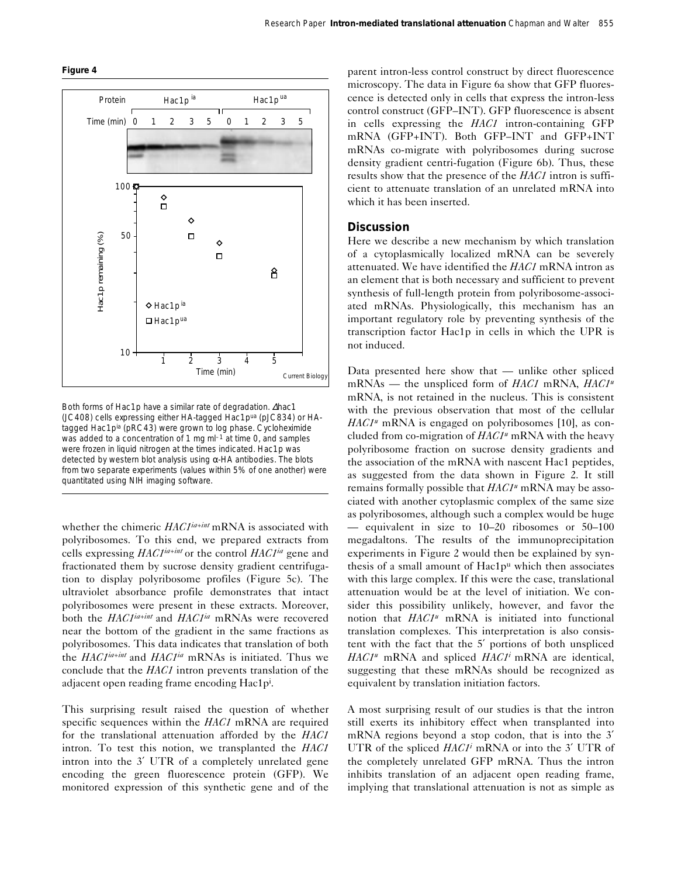



Both forms of Hac1p have a similar rate of degradation. ∆*hac1* (JC408) cells expressing either HA-tagged Hac1pua (pJC834) or HAtagged Hac1pia (pRC43) were grown to log phase. Cycloheximide was added to a concentration of 1 mg  $ml<sup>-1</sup>$  at time 0, and samples were frozen in liquid nitrogen at the times indicated. Hac1p was detected by western blot analysis using  $\alpha$ -HA antibodies. The blots from two separate experiments (values within 5% of one another) were quantitated using NIH imaging software.

whether the chimeric *HAC1ia+int* mRNA is associated with polyribosomes. To this end, we prepared extracts from cells expressing *HAC1ia+int* or the control *HAC1ia* gene and fractionated them by sucrose density gradient centrifugation to display polyribosome profiles (Figure 5c). The ultraviolet absorbance profile demonstrates that intact polyribosomes were present in these extracts. Moreover, both the *HAC1ia+int* and *HAC1ia* mRNAs were recovered near the bottom of the gradient in the same fractions as polyribosomes. This data indicates that translation of both the *HAC1ia+int* and *HAC1ia* mRNAs is initiated. Thus we conclude that the *HAC1* intron prevents translation of the adjacent open reading frame encoding Hac1pi .

This surprising result raised the question of whether specific sequences within the *HAC1* mRNA are required for the translational attenuation afforded by the *HAC1* intron. To test this notion, we transplanted the *HAC1* intron into the 3′ UTR of a completely unrelated gene encoding the green fluorescence protein (GFP). We monitored expression of this synthetic gene and of the

parent intron-less control construct by direct fluorescence microscopy. The data in Figure 6a show that GFP fluorescence is detected only in cells that express the intron-less control construct (GFP–INT). GFP fluorescence is absent in cells expressing the *HAC1* intron-containing GFP mRNA (GFP+INT). Both GFP–INT and GFP+INT mRNAs co-migrate with polyribosomes during sucrose density gradient centri-fugation (Figure 6b). Thus, these results show that the presence of the *HAC1* intron is sufficient to attenuate translation of an unrelated mRNA into which it has been inserted.

# **Discussion**

Here we describe a new mechanism by which translation of a cytoplasmically localized mRNA can be severely attenuated. We have identified the *HAC1* mRNA intron as an element that is both necessary and sufficient to prevent synthesis of full-length protein from polyribosome-associated mRNAs. Physiologically, this mechanism has an important regulatory role by preventing synthesis of the transcription factor Hac1p in cells in which the UPR is not induced.

Data presented here show that — unlike other spliced mRNAs — the unspliced form of *HAC1* mRNA, *HAC1u* mRNA, is not retained in the nucleus. This is consistent with the previous observation that most of the cellular *HAC1<sup>u</sup>* mRNA is engaged on polyribosomes [10], as concluded from co-migration of *HAC1<sup>u</sup>* mRNA with the heavy polyribosome fraction on sucrose density gradients and the association of the mRNA with nascent Hac1 peptides, as suggested from the data shown in Figure 2. It still remains formally possible that *HAC1u* mRNA may be associated with another cytoplasmic complex of the same size as polyribosomes, although such a complex would be huge — equivalent in size to 10–20 ribosomes or 50–100 megadaltons. The results of the immunoprecipitation experiments in Figure 2 would then be explained by synthesis of a small amount of Hac1pu which then associates with this large complex. If this were the case, translational attenuation would be at the level of initiation. We consider this possibility unlikely, however, and favor the notion that *HAC1u* mRNA is initiated into functional translation complexes. This interpretation is also consistent with the fact that the 5′ portions of both unspliced *HAC1u* mRNA and spliced *HAC1i* mRNA are identical, suggesting that these mRNAs should be recognized as equivalent by translation initiation factors.

A most surprising result of our studies is that the intron still exerts its inhibitory effect when transplanted into mRNA regions beyond a stop codon, that is into the 3′ UTR of the spliced *HAC1i* mRNA or into the 3′ UTR of the completely unrelated GFP mRNA. Thus the intron inhibits translation of an adjacent open reading frame, implying that translational attenuation is not as simple as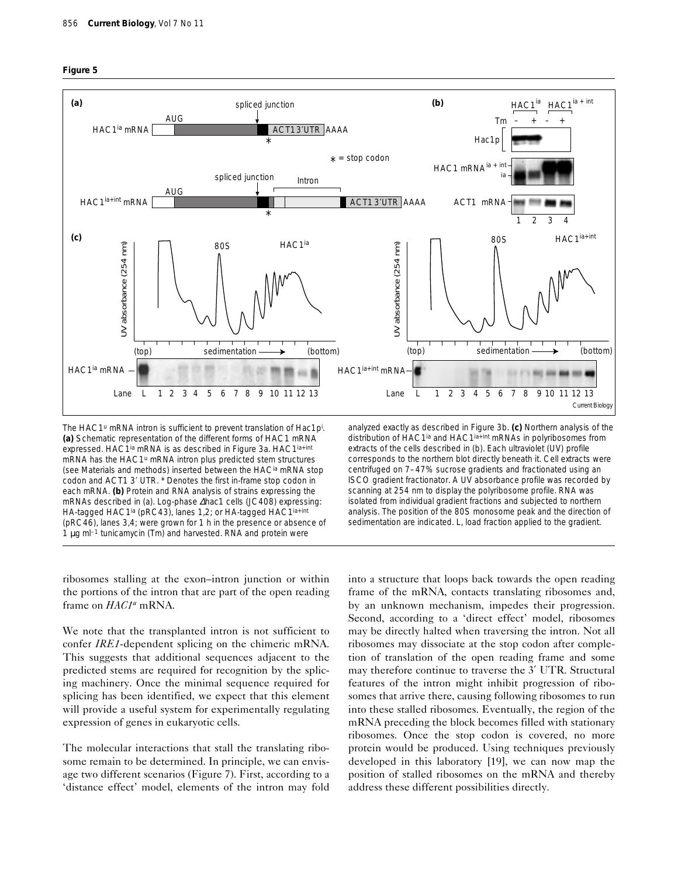



The *HAC1*<sup>u</sup> mRNA intron is sufficient to prevent translation of Hac1p<sup>i</sup>. **(a)** Schematic representation of the different forms of *HAC1* mRNA expressed. *HAC1ia* mRNA is as described in Figure 3a. *HAC1ia+int* mRNA has the *HAC1u* mRNA intron plus predicted stem structures (see Materials and methods) inserted between the *HACia* mRNA stop codon and *ACT1* 3′ UTR. \* Denotes the first in-frame stop codon in each mRNA. **(b)** Protein and RNA analysis of strains expressing the mRNAs described in (a). Log-phase ∆*hac1* cells (JC408) expressing: HA-tagged *HAC1ia* (pRC43), lanes 1,2; or HA-tagged *HAC1ia+int* (pRC46), lanes 3,4; were grown for 1 h in the presence or absence of 1  $\mu$ g m $l^{-1}$  tunicamycin (Tm) and harvested. RNA and protein were

analyzed exactly as described in Figure 3b. **(c)** Northern analysis of the distribution of *HAC1ia* and *HAC1ia+int* mRNAs in polyribosomes from extracts of the cells described in (b). Each ultraviolet (UV) profile corresponds to the northern blot directly beneath it. Cell extracts were centrifuged on 7–47% sucrose gradients and fractionated using an ISCO gradient fractionator. A UV absorbance profile was recorded by scanning at 254 nm to display the polyribosome profile. RNA was isolated from individual gradient fractions and subjected to northern analysis. The position of the 80S monosome peak and the direction of sedimentation are indicated. L, load fraction applied to the gradient.

ribosomes stalling at the exon–intron junction or within the portions of the intron that are part of the open reading frame on *HAC1u* mRNA.

We note that the transplanted intron is not sufficient to confer *IRE1*-dependent splicing on the chimeric mRNA. This suggests that additional sequences adjacent to the predicted stems are required for recognition by the splicing machinery. Once the minimal sequence required for splicing has been identified, we expect that this element will provide a useful system for experimentally regulating expression of genes in eukaryotic cells.

The molecular interactions that stall the translating ribosome remain to be determined. In principle, we can envisage two different scenarios (Figure 7). First, according to a 'distance effect' model, elements of the intron may fold into a structure that loops back towards the open reading frame of the mRNA, contacts translating ribosomes and, by an unknown mechanism, impedes their progression. Second, according to a 'direct effect' model, ribosomes may be directly halted when traversing the intron. Not all ribosomes may dissociate at the stop codon after completion of translation of the open reading frame and some may therefore continue to traverse the 3′ UTR. Structural features of the intron might inhibit progression of ribosomes that arrive there, causing following ribosomes to run into these stalled ribosomes. Eventually, the region of the mRNA preceding the block becomes filled with stationary ribosomes. Once the stop codon is covered, no more protein would be produced. Using techniques previously developed in this laboratory [19], we can now map the position of stalled ribosomes on the mRNA and thereby address these different possibilities directly.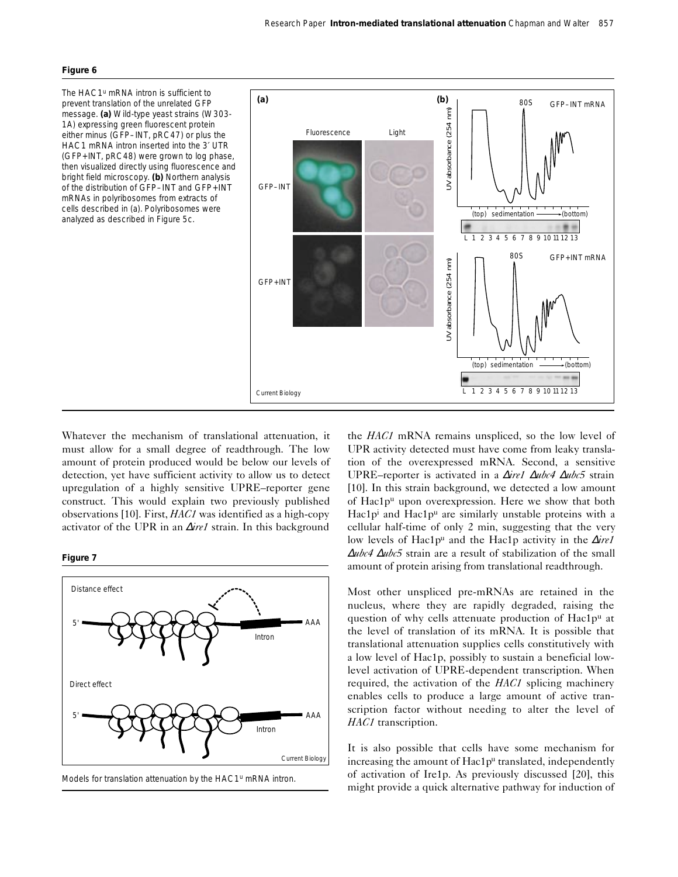#### **Figure 6**

The *HAC1<sup>u</sup>* mRNA intron is sufficient to prevent translation of the unrelated GFP message. **(a)** Wild-type yeast strains (W303- 1A) expressing green fluorescent protein either minus (GFP–INT, pRC47) or plus the *HAC1* mRNA intron inserted into the 3′ UTR (GFP+INT, pRC48) were grown to log phase, then visualized directly using fluorescence and bright field microscopy. **(b)** Northern analysis of the distribution of *GFP–INT* and *GFP+INT* mRNAs in polyribosomes from extracts of cells described in (a). Polyribosomes were analyzed as described in Figure 5c.



Whatever the mechanism of translational attenuation, it must allow for a small degree of readthrough. The low amount of protein produced would be below our levels of detection, yet have sufficient activity to allow us to detect upregulation of a highly sensitive UPRE–reporter gene construct. This would explain two previously published observations [10]. First, *HAC1* was identified as a high-copy activator of the UPR in an ∆*ire1* strain. In this background





Models for translation attenuation by the *HAC1u* mRNA intron.

the *HAC1* mRNA remains unspliced, so the low level of UPR activity detected must have come from leaky translation of the overexpressed mRNA. Second, a sensitive UPRE–reporter is activated in a ∆*ire1* ∆*ubc4* ∆*ubc5* strain [10]. In this strain background, we detected a low amount of Hac1pu upon overexpression. Here we show that both Hac1p<sup>i</sup> and Hac1p<sup>u</sup> are similarly unstable proteins with a cellular half-time of only 2 min, suggesting that the very low levels of Hac1pu and the Hac1p activity in the ∆*ire1* <sup>∆</sup>*ubc4* ∆*ubc5* strain are a result of stabilization of the small amount of protein arising from translational readthrough.

Most other unspliced pre-mRNAs are retained in the nucleus, where they are rapidly degraded, raising the question of why cells attenuate production of Hac1pu at the level of translation of its mRNA. It is possible that translational attenuation supplies cells constitutively with a low level of Hac1p, possibly to sustain a beneficial lowlevel activation of UPRE-dependent transcription. When required, the activation of the *HAC1* splicing machinery enables cells to produce a large amount of active transcription factor without needing to alter the level of *HAC1* transcription.

It is also possible that cells have some mechanism for increasing the amount of Hac1pu translated, independently of activation of Ire1p. As previously discussed [20], this might provide a quick alternative pathway for induction of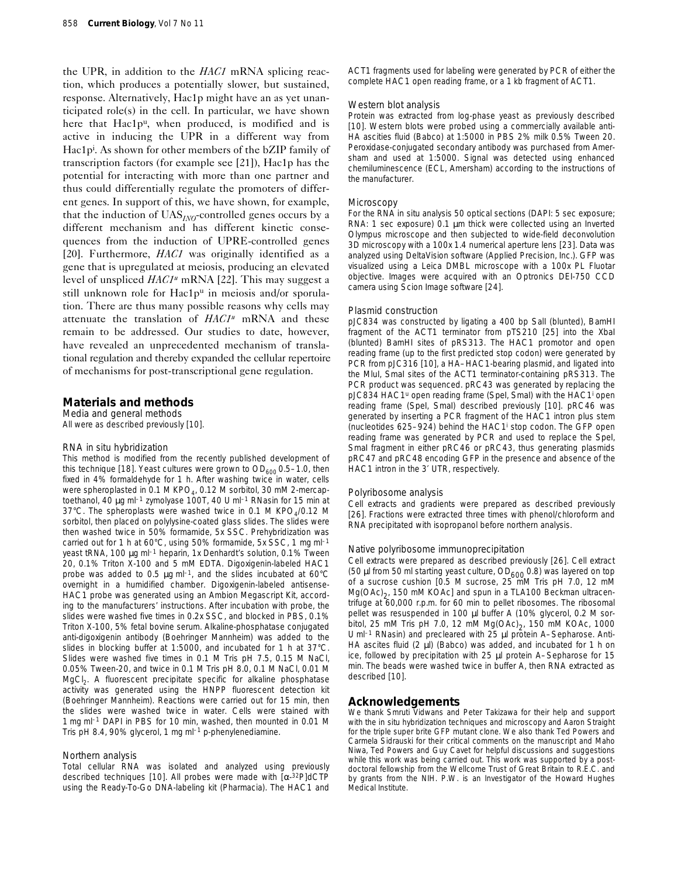the UPR, in addition to the *HAC1* mRNA splicing reaction, which produces a potentially slower, but sustained, response. Alternatively, Hac1p might have an as yet unanticipated role(s) in the cell. In particular, we have shown here that Hac1p<sup>u</sup>, when produced, is modified and is active in inducing the UPR in a different way from Hac1p<sup>i</sup>. As shown for other members of the bZIP family of transcription factors (for example see [21]), Hac1p has the potential for interacting with more than one partner and thus could differentially regulate the promoters of different genes. In support of this, we have shown, for example, that the induction of UAS*INO*-controlled genes occurs by a different mechanism and has different kinetic consequences from the induction of UPRE-controlled genes [20]. Furthermore, *HAC1* was originally identified as a gene that is upregulated at meiosis, producing an elevated level of unspliced *HAC1u* mRNA [22]. This may suggest a still unknown role for Hac1pu in meiosis and/or sporulation. There are thus many possible reasons why cells may attenuate the translation of *HAC1u* mRNA and these remain to be addressed. Our studies to date, however, have revealed an unprecedented mechanism of translational regulation and thereby expanded the cellular repertoire of mechanisms for post-transcriptional gene regulation.

# **Materials and methods**

*Media and general methods* All were as described previously [10].

#### *RNA* in situ *hybridization*

This method is modified from the recently published development of this technique [18]. Yeast cultures were grown to  $OD<sub>600</sub>$  0.5-1.0, then fixed in 4% formaldehyde for 1 h. After washing twice in water, cells were spheroplasted in 0.1 M KPO<sub>4</sub>, 0.12 M sorbitol, 30 mM 2-mercaptoethanol, 40 µg ml–1 zymolyase 100T, 40 U ml–1 RNasin for 15 min at 37°C. The spheroplasts were washed twice in 0.1 M  $KPO<sub>4</sub>/O.12$  M sorbitol, then placed on polylysine-coated glass slides. The slides were then washed twice in 50% formamide, 5x SSC. Prehybridization was carried out for 1 h at 60°C, using 50% formamide, 5x SSC, 1 mg ml–1 yeast tRNA, 100 µg ml–1 heparin, 1x Denhardt's solution, 0.1% Tween 20, 0.1% Triton X-100 and 5 mM EDTA. Digoxigenin-labeled *HAC1* probe was added to 0.5  $\mu$ g m $-1$ , and the slides incubated at 60°C overnight in a humidified chamber. Digoxigenin-labeled antisense-*HAC1* probe was generated using an Ambion Megascript Kit, according to the manufacturers' instructions. After incubation with probe, the slides were washed five times in 0.2x SSC, and blocked in PBS, 0.1% Triton X-100, 5% fetal bovine serum. Alkaline-phosphatase conjugated anti-digoxigenin antibody (Boehringer Mannheim) was added to the slides in blocking buffer at 1:5000, and incubated for 1 h at 37°C. Slides were washed five times in 0.1 M Tris pH 7.5, 0.15 M NaCl, 0.05% Tween-20, and twice in 0.1 M Tris pH 8.0, 0.1 M NaCl, 0.01 M  $MgCl<sub>2</sub>$ . A fluorescent precipitate specific for alkaline phosphatase activity was generated using the HNPP fluorescent detection kit (Boehringer Mannheim). Reactions were carried out for 15 min, then the slides were washed twice in water. Cells were stained with 1 mg ml–1 DAPI in PBS for 10 min, washed, then mounted in 0.01 M Tris pH 8.4, 90% glycerol, 1 mg ml–1 *p*-phenylenediamine.

#### *Northern analysis*

Total cellular RNA was isolated and analyzed using previously described techniques [10]. All probes were made with [α-32P]dCTP using the Ready-To-Go DNA-labeling kit (Pharmacia). The *HAC1* and *ACT1* fragments used for labeling were generated by PCR of either the complete *HAC1* open reading frame, or a 1 kb fragment of *ACT1*.

#### *Western blot analysis*

Protein was extracted from log-phase yeast as previously described [10]. Western blots were probed using a commercially available anti-HA ascities fluid (Babco) at 1:5000 in PBS 2% milk 0.5% Tween 20. Peroxidase-conjugated secondary antibody was purchased from Amersham and used at 1:5000. Signal was detected using enhanced chemiluminescence (ECL, Amersham) according to the instructions of the manufacturer.

## *Microscopy*

For the RNA *in situ* analysis 50 optical sections (DAPI: 5 sec exposure; RNA: 1 sec exposure) 0.1 µm thick were collected using an Inverted Olympus microscope and then subjected to wide-field deconvolution 3D microscopy with a 100x 1.4 numerical aperture lens [23]. Data was analyzed using DeltaVision software (Applied Precision, Inc.). GFP was visualized using a Leica DMBL microscope with a 100x PL Fluotar objective. Images were acquired with an Optronics DEI-750 CCD camera using Scion Image software [24].

## *Plasmid construction*

pJC834 was constructed by ligating a 400 bp *Sal*I (blunted), *Bam*HI fragment of the *ACT1* terminator from pTS210 [25] into the *Xba*I (blunted) *Bam*HI sites of pRS313. The *HAC1* promotor and open reading frame (up to the first predicted stop codon) were generated by PCR from pJC316 [10], a *HA–HAC1*-bearing plasmid, and ligated into the *Mlu*I, *Sma*I sites of the *ACT1* terminator-containing pRS313. The PCR product was sequenced. pRC43 was generated by replacing the pJC834 *HAC1u* open reading frame (*Spe*I, *Sma*I) with the *HAC1i* open reading frame (*Spe*I, *Sma*I) described previously [10]. pRC46 was generated by inserting a PCR fragment of the *HAC1* intron plus stem (nucleotides 625–924) behind the *HAC1i* stop codon. The GFP open reading frame was generated by PCR and used to replace the *Spe*I, *Sma*I fragment in either pRC46 or pRC43, thus generating plasmids pRC47 and pRC48 encoding GFP in the presence and absence of the *HAC1* intron in the 3′ UTR, respectively.

#### *Polyribosome analysis*

Cell extracts and gradients were prepared as described previously [26]. Fractions were extracted three times with phenol/chloroform and RNA precipitated with isopropanol before northern analysis.

#### *Native polyribosome immunoprecipitation*

Cell extracts were prepared as described previously [26]. Cell extract (50  $\mu$ I from 50 ml starting yeast culture, OD<sub>600</sub> 0.8) was layered on top of a sucrose cushion [0.5 M sucrose, 25 mM Tris pH 7.0, 12 mM  $Mg(OAc)<sub>2</sub>$ , 150 mM KOAc] and spun in a TLA100 Beckman ultracentrifuge at 60,000 r.p.m. for 60 min to pellet ribosomes. The ribosomal pellet was resuspended in 100 µl buffer A (10% glycerol, 0.2 M sorbitol, 25 mM Tris pH 7.0, 12 mM  $Mg(OAc)<sub>2</sub>$ , 150 mM KOAc, 1000 U ml<sup>-1</sup> RNasin) and precleared with 25 µl protein A-Sepharose. Anti-HA ascites fluid (2  $\mu$ l) (Babco) was added, and incubated for 1 h on ice, followed by precipitation with 25 µl protein A–Sepharose for 15 min. The beads were washed twice in buffer A, then RNA extracted as described [10].

## **Acknowledgements**

We thank Smruti Vidwans and Peter Takizawa for their help and support with the *in situ* hybridization techniques and microscopy and Aaron Straight for the triple super brite GFP mutant clone. We also thank Ted Powers and Carmela Sidrauski for their critical comments on the manuscript and Maho Niwa, Ted Powers and Guy Cavet for helpful discussions and suggestions while this work was being carried out. This work was supported by a postdoctoral fellowship from the Wellcome Trust of Great Britain to R.E.C. and by grants from the NIH. P.W. is an Investigator of the Howard Hughes Medical Institute.